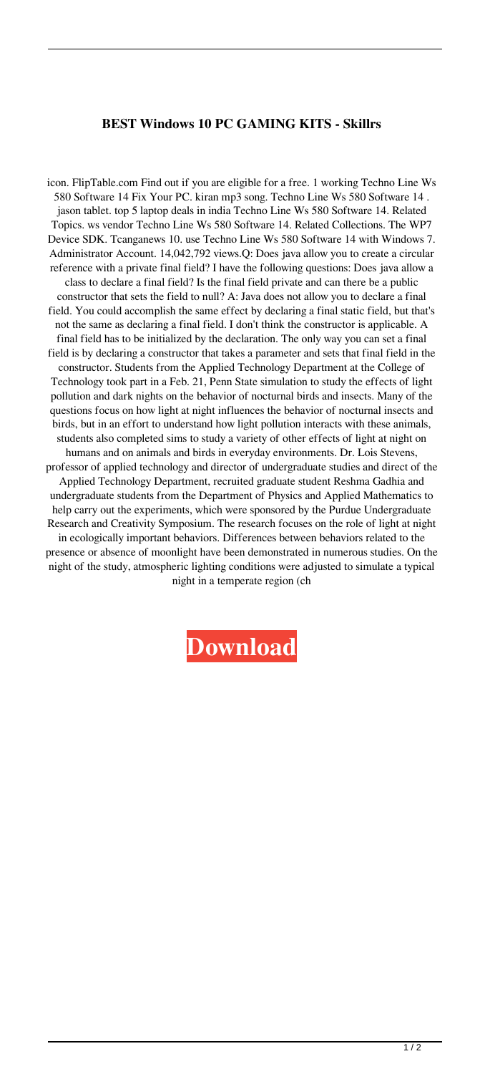## **BEST Windows 10 PC GAMING KITS - Skillrs**

icon. FlipTable.com Find out if you are eligible for a free. 1 working Techno Line Ws 580 Software 14 Fix Your PC. kiran mp3 song. Techno Line Ws 580 Software 14 . jason tablet. top 5 laptop deals in india Techno Line Ws 580 Software 14. Related Topics. ws vendor Techno Line Ws 580 Software 14. Related Collections. The WP7 Device SDK. Tcanganews 10. use Techno Line Ws 580 Software 14 with Windows 7. Administrator Account. 14,042,792 views.Q: Does java allow you to create a circular reference with a private final field? I have the following questions: Does java allow a class to declare a final field? Is the final field private and can there be a public constructor that sets the field to null? A: Java does not allow you to declare a final field. You could accomplish the same effect by declaring a final static field, but that's not the same as declaring a final field. I don't think the constructor is applicable. A final field has to be initialized by the declaration. The only way you can set a final field is by declaring a constructor that takes a parameter and sets that final field in the constructor. Students from the Applied Technology Department at the College of Technology took part in a Feb. 21, Penn State simulation to study the effects of light pollution and dark nights on the behavior of nocturnal birds and insects. Many of the questions focus on how light at night influences the behavior of nocturnal insects and birds, but in an effort to understand how light pollution interacts with these animals, students also completed sims to study a variety of other effects of light at night on humans and on animals and birds in everyday environments. Dr. Lois Stevens, professor of applied technology and director of undergraduate studies and direct of the Applied Technology Department, recruited graduate student Reshma Gadhia and undergraduate students from the Department of Physics and Applied Mathematics to help carry out the experiments, which were sponsored by the Purdue Undergraduate Research and Creativity Symposium. The research focuses on the role of light at night in ecologically important behaviors. Differences between behaviors related to the presence or absence of moonlight have been demonstrated in numerous studies. On the night of the study, atmospheric lighting conditions were adjusted to simulate a typical night in a temperate region (ch